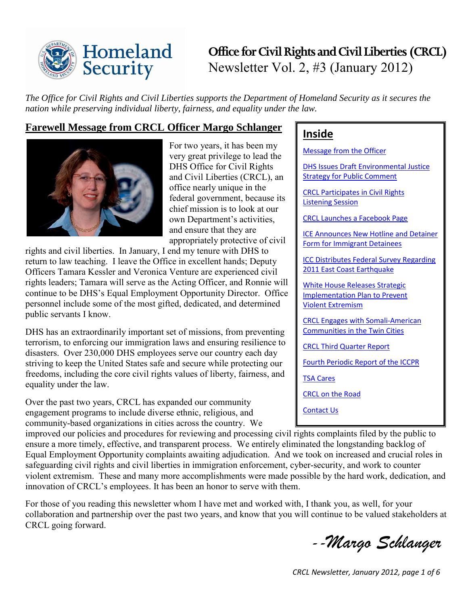

# **Office for Civil Rights and Civil Liberties (CRCL)** Newsletter Vol. 2, #3 (January 2012)

**Inside** 

[Message from the Officer](#page-0-0)

[Listening Session](#page-1-1)

[Strategy for Public Comment](#page-1-0) 

[CRCL Participates in Civil Rights](#page-1-1) 

[CRCL Launches a Facebook Page](#page-2-0)

[Form for Immigrant Detainees](#page-2-1)

[2011 East Coast Earthquake](#page-2-2)

[CRCL Third Quarter Report](#page-3-2) 

[Violent Extremism](#page-3-0)

[TSA Cares](#page-4-1) 

[Contact Us](#page-5-0)

CRCL on [the Road](#page-4-2)

[White House Releases Strategic](#page-3-0)  [Implementation](#page-3-0) Plan to Prevent

[CRCL Engages with Somali-American](#page-3-1)  [Communities in the Twin Cities](#page-3-1)

[Fourth Periodic Report of the ICCPR](#page-4-0) 

[DHS Issues Draft Environmental Justice](#page-1-0) 

[ICE Announces New Hotline and Detainer](#page-2-1) 

[ICC Distributes Federal Survey Regarding](#page-2-2) 

*The Office for Civil Rights and Civil Liberties supports the Department of Homeland Security as it secures the nation while preserving individual liberty, fairness, and equality under the law.* 

# <span id="page-0-0"></span>**Farewell Message from CRCL Officer Margo Schlanger**



For two years, it has been my very great privilege to lead the DHS Office for Civil Rights and Civil Liberties (CRCL), an office nearly unique in the federal government, because its chief mission is to look at our own Department's activities, and ensure that they are appropriately protective of civil

rights and civil liberties. In January, I end my tenure with DHS to return to law teaching. I leave the Office in excellent hands; Deputy Officers Tamara Kessler and Veronica Venture are experienced civil rights leaders; Tamara will serve as the Acting Officer, and Ronnie will continue to be DHS's Equal Employment Opportunity Director. Office personnel include some of the most gifted, dedicated, and determined public servants I know.

DHS has an extraordinarily important set of missions, from preventing terrorism, to enforcing our immigration laws and ensuring resilience to disasters. Over 230,000 DHS employees serve our country each day striving to keep the United States safe and secure while protecting our freedoms, including the core civil rights values of liberty, fairness, and equality under the law.

Over the past two years, CRCL has expanded our community engagement programs to include diverse ethnic, religious, and community-based organizations in cities across the country. We

### improved our policies and procedures for reviewing and processing civil rights complaints filed by the public to ensure a more timely, effective, and transparent process. We entirely eliminated the longstanding backlog of Equal Employment Opportunity complaints awaiting adjudication. And we took on increased and crucial roles in safeguarding civil rights and civil liberties in immigration enforcement, cyber-security, and work to counter violent extremism. These and many more accomplishments were made possible by the hard work, dedication, and innovation of CRCL's employees. It has been an honor to serve with them.

For those of you reading this newsletter whom I have met and worked with, I thank you, as well, for your collaboration and partnership over the past two years, and know that you will continue to be valued stakeholders at CRCL going forward.

 *--Margo Schlanger*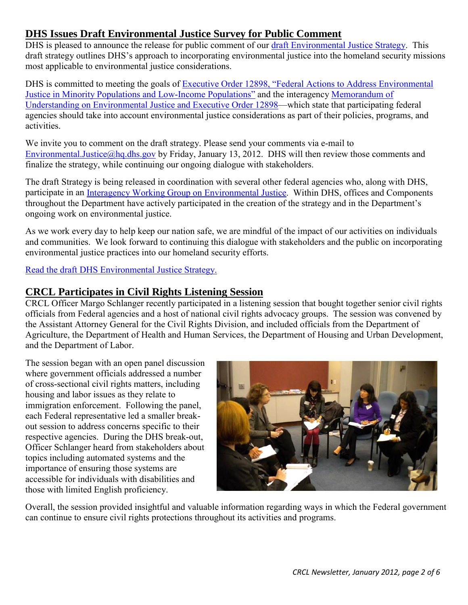# <span id="page-1-0"></span>**DHS Issues Draft Environmental Justice Survey for Public Comment**

DHS is pleased to announce the release for public comment of our [draft Environmental Justice Strategy.](http://www.dhs.gov/xabout/laws/dhs-environmental-justice-strategy.shtm) This draft strategy outlines DHS's approach to incorporating environmental justice into the homeland security missions most applicable to environmental justice considerations.

DHS is committed to meeting the goals of Executive Order 12898, "Federal Actions to Address Environmental [Justice in Minority Populations and Low-Income Populations"](http://www.epa.gov/environmentaljustice/resources/policy/exec_order_12898.pdf) and the interagency [Memorandum of](http://www.epa.gov/environmentaljustice/resources/publications/interagency/ej-mou-2011-08.pdf)  [Understanding on Environmental Justice and Executive Order 12898—](http://www.epa.gov/environmentaljustice/resources/publications/interagency/ej-mou-2011-08.pdf)which state that participating federal agencies should take into account environmental justice considerations as part of their policies, programs, and activities.

We invite you to comment on the draft strategy. Please send your comments via e-mail to [Environmental.Justice@hq.dhs.gov](mailto:Environmental.Justice@hq.dhs.gov) by Friday, January 13, 2012. DHS will then review those comments and finalize the strategy, while continuing our ongoing dialogue with stakeholders.

The draft Strategy is being released in coordination with several other federal agencies who, along with DHS, participate in an [Interagency Working Group on Environmental Justice.](http://www.epa.gov/environmentaljustice/interagency/index.html) Within DHS, offices and Components throughout the Department have actively participated in the creation of the strategy and in the Department's ongoing work on environmental justice.

As we work every day to help keep our nation safe, we are mindful of the impact of our activities on individuals and communities. We look forward to continuing this dialogue with stakeholders and the public on incorporating environmental justice practices into our homeland security efforts.

[Read the draft DHS Environmental Justice Strategy.](http://www.dhs.gov/xabout/laws/dhs-environmental-justice-strategy.shtm)

### <span id="page-1-1"></span>**CRCL Participates in Civil Rights Listening Session**

CRCL Officer Margo Schlanger recently participated in a listening session that bought together senior civil rights officials from Federal agencies and a host of national civil rights advocacy groups. The session was convened by the Assistant Attorney General for the Civil Rights Division, and included officials from the Department of Agriculture, the Department of Health and Human Services, the Department of Housing and Urban Development, and the Department of Labor.

The session began with an open panel discussion where government officials addressed a number of cross-sectional civil rights matters, including housing and labor issues as they relate to immigration enforcement. Following the panel, each Federal representative led a smaller breakout session to address concerns specific to their respective agencies. During the DHS break-out, Officer Schlanger heard from stakeholders about topics including automated systems and the importance of ensuring those systems are accessible for individuals with disabilities and those with limited English proficiency.



Overall, the session provided insightful and valuable information regarding ways in which the Federal government can continue to ensure civil rights protections throughout its activities and programs.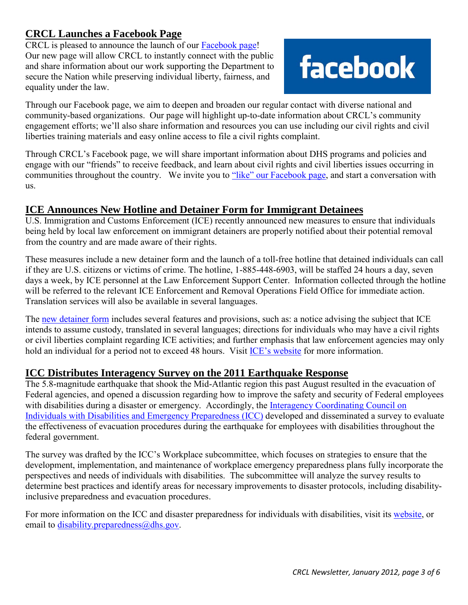# <span id="page-2-0"></span>**CRCL Launches a Facebook Page**

CRCL is pleased to announce the launch of our [Facebook page!](http://www.facebook.com/CivilRightsAndCivilLiberties) Our new page will allow CRCL to instantly connect with the public and share information about our work supporting the Department to secure the Nation while preserving individual liberty, fairness, and equality under the law.



Through our Facebook page, we aim to deepen and broaden our regular contact with diverse national and community-based organizations. Our page will highlight up-to-date information about CRCL's community engagement efforts; we'll also share information and resources you can use including our civil rights and civil liberties training materials and easy online access to file a civil rights complaint.

Through CRCL's Facebook page, we will share important information about DHS programs and policies and engage with our "friends" to receive feedback, and learn about civil rights and civil liberties issues occurring in communities throughout the country. We invite you to ["like" our Facebook page,](http://www.facebook.com/CivilRightsAndCivilLiberties) and start a conversation with us.

## <span id="page-2-1"></span>**ICE Announces New Hotline and Detainer Form for Immigrant Detainees**

U.S. Immigration and Customs Enforcement (ICE) recently announced new measures to ensure that individuals being held by local law enforcement on immigrant detainers are properly notified about their potential removal from the country and are made aware of their rights.

These measures include a new detainer form and the launch of a toll-free hotline that detained individuals can call if they are U.S. citizens or victims of crime. The hotline, 1-885-448-6903, will be staffed 24 hours a day, seven days a week, by ICE personnel at the Law Enforcement Support Center. Information collected through the hotline will be referred to the relevant ICE Enforcement and Removal Operations Field Office for immediate action. Translation services will also be available in several languages.

The [new detainer form](http://www.ice.gov/doclib/secure-communities/pdf/immigration-detainer-form.pdf) includes several features and provisions, such as: a notice advising the subject that ICE intends to assume custody, translated in several languages; directions for individuals who may have a civil rights or civil liberties complaint regarding ICE activities; and further emphasis that law enforcement agencies may only hold an individual for a period not to exceed 48 hours. Visit [ICE's website](http://www.ice.gov/news/releases/1112/111229washingtondc.htm) for more information.

### <span id="page-2-2"></span>**ICC Distributes Interagency Survey on the 2011 Earthquake Response**

The 5.8-magnitude earthquake that shook the Mid-Atlantic region this past August resulted in the evacuation of Federal agencies, and opened a discussion regarding how to improve the safety and security of Federal employees with disabilities during a disaster or emergency. Accordingly, the Interagency Coordinating Council on [Individuals with Disabilities and Emergency Preparedness \(ICC\)](http://www.dhs.gov/files/committees/editorial_0591.shtm) developed and disseminated a survey to evaluate the effectiveness of evacuation procedures during the earthquake for employees with disabilities throughout the federal government.

The survey was drafted by the ICC's Workplace subcommittee, which focuses on strategies to ensure that the development, implementation, and maintenance of workplace emergency preparedness plans fully incorporate the perspectives and needs of individuals with disabilities. The subcommittee will analyze the survey results to determine best practices and identify areas for necessary improvements to disaster protocols, including disabilityinclusive preparedness and evacuation procedures.

For more information on the ICC and disaster preparedness for individuals with disabilities, visit its [website,](http://www.dhs.gov/files/committees/editorial_0591.shtm) or email to [disability.preparedness@dhs.gov.](mailto:disability.preparedness@dhs.gov)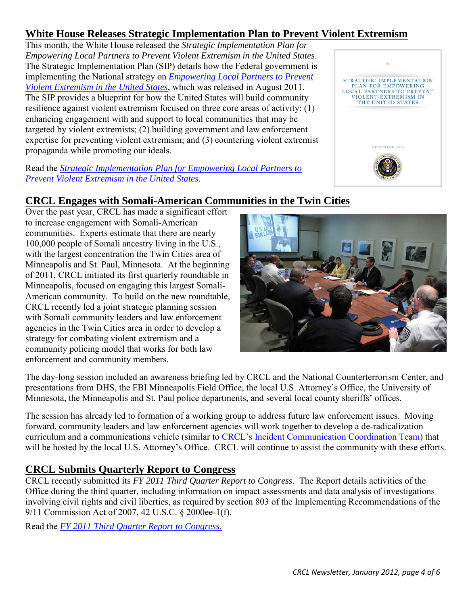# <span id="page-3-0"></span>**White House Releases Strategic Implementation Plan to Prevent Violent Extremism**

This month, the White House released the *Strategic Implementation Plan for Empowering Local Partners to Prevent Violent Extremism in the United States*. The Strategic Implementation Plan (SIP) details how the Federal government is implementing the National strategy on *[Empowering Local Partners to Prevent](http://www.whitehouse.gov/sites/default/files/empowering_local_partners.pdf)  [Violent Extremism in the United States](http://www.whitehouse.gov/sites/default/files/empowering_local_partners.pdf)*, which was released in August 2011. The SIP provides a blueprint for how the United States will build community resilience against violent extremism focused on three core areas of activity: (1) enhancing engagement with and support to local communities that may be targeted by violent extremists; (2) building government and law enforcement expertise for preventing violent extremism; and (3) countering violent extremist propaganda while promoting our ideals.



#### Read the *[Strategic Implementation Plan for Empowering Local Partners to](http://www.whitehouse.gov/sites/default/files/sip-final.pdf)  [Prevent Violent Extremism in the United States.](http://www.whitehouse.gov/sites/default/files/sip-final.pdf)*

# <span id="page-3-1"></span>**CRCL Engages with Somali-American Communities in the Twin Cities**

Over the past year, CRCL has made a significant effort to increase engagement with Somali-American communities. Experts estimate that there are nearly 100,000 people of Somali ancestry living in the U.S., with the largest concentration the Twin Cities area of Minneapolis and St. Paul, Minnesota. At the beginning of 2011, CRCL initiated its first quarterly roundtable in Minneapolis, focused on engaging this largest Somali-American community. To build on the new roundtable, CRCL recently led a joint strategic planning session with Somali community leaders and law enforcement agencies in the Twin Cities area in order to develop a strategy for combating violent extremism and a community policing model that works for both law enforcement and community members.



The day-long session included an awareness briefing led by CRCL and the National Counterterrorism Center, and presentations from DHS, the FBI Minneapolis Field Office, the local U.S. Attorney's Office, the University of Minnesota, the Minneapolis and St. Paul police departments, and several local county sheriffs' offices.

The session has already led to formation of a working group to address future law enforcement issues. Moving forward, community leaders and law enforcement agencies will work together to develop a de-radicalization curriculum and a communications vehicle (similar to [CRCL's Incident Communication Coordination Team\)](http://www.dhs.gov/xabout/structure/gc_1273873058706.shtm) that will be hosted by the local U.S. Attorney's Office. CRCL will continue to assist the community with these efforts.

# <span id="page-3-2"></span>**CRCL Submits Quarterly Report to Congress**

CRCL recently submitted its *FY 2011 Third Quarter Report to Congress*. The Report details activities of the Office during the third quarter, including information on impact assessments and data analysis of investigations involving civil rights and civil liberties, as required by section 803 of the Implementing Recommendations of the 9/11 Commission Act of 2007, 42 U.S.C. § 2000ee-1(f).

Read the *[FY 2011 Third Quarter Report to Congress](http://www.dhs.gov/xlibrary/assets/crcl-quarterly-report-fy-2011-q3.pdf)*.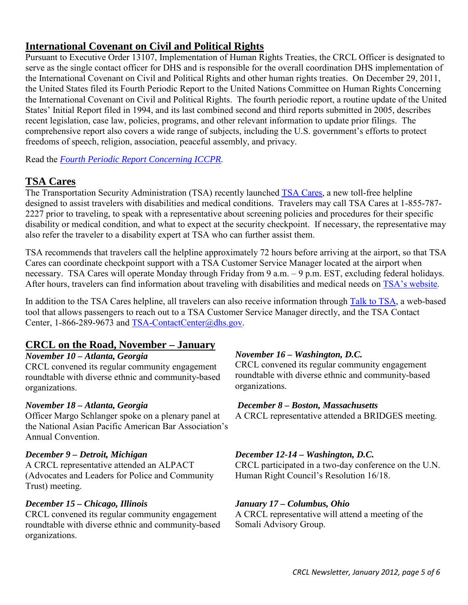# <span id="page-4-0"></span>**International Covenant on Civil and Political Rights**

Pursuant to Executive Order 13107, Implementation of Human Rights Treaties, the CRCL Officer is designated to serve as the single contact officer for DHS and is responsible for the overall coordination DHS implementation of the International Covenant on Civil and Political Rights and other human rights treaties. On December 29, 2011, the United States filed its Fourth Periodic Report to the United Nations Committee on Human Rights Concerning the International Covenant on Civil and Political Rights. The fourth periodic report, a routine update of the United States' Initial Report filed in 1994, and its last combined second and third reports submitted in 2005, describes recent legislation, case law, policies, programs, and other relevant information to update prior filings. The comprehensive report also covers a wide range of subjects, including the U.S. government's efforts to protect freedoms of speech, religion, association, peaceful assembly, and privacy.

Read the *[Fourth Periodic Report Concerning ICCPR](http://www.state.gov/g/drl/rls/179781.htm)*.

### <span id="page-4-1"></span>**TSA Cares**

The Transportation Security Administration (TSA) recently launched [TSA Cares,](http://www.tsa.gov/travelers/airtravel/disabilityandmedicalneeds/tsa_cares.shtm) a new toll-free helpline designed to assist travelers with disabilities and medical conditions. Travelers may call TSA Cares at 1-855-787- 2227 prior to traveling, to speak with a representative about screening policies and procedures for their specific disability or medical condition, and what to expect at the security checkpoint. If necessary, the representative may also refer the traveler to a disability expert at TSA who can further assist them.

TSA recommends that travelers call the helpline approximately 72 hours before arriving at the airport, so that TSA Cares can coordinate checkpoint support with a TSA Customer Service Manager located at the airport when necessary. TSA Cares will operate Monday through Friday from 9 a.m. – 9 p.m. EST, excluding federal holidays. After hours, travelers can find information about traveling with disabilities and medical needs on TSA's [website.](http://www.tsa.gov/travelers/airtravel/disabilityandmedicalneeds/tsa_cares.shtm)

In addition to the TSA Cares helpline, all travelers can also receive information through [Talk to TSA,](https://apps.tsa.dhs.gov/talktotsa/) a web-based tool that allows passengers to reach out to a TSA Customer Service Manager directly, and the TSA Contact Center, 1-866-289-9673 and [TSA-ContactCenter@dhs.gov.](mailto:TSA-ContactCenter@dhs.gov)

### <span id="page-4-2"></span>**CRCL on the Road, November – January**

### *November 10 – Atlanta, Georgia*

CRCL convened its regular community engagement roundtable with diverse ethnic and community-based organizations.

#### *November 18 – Atlanta, Georgia*

Officer Margo Schlanger spoke on a plenary panel at the National Asian Pacific American Bar Association's Annual Convention.

#### *December 9 – Detroit, Michigan*

A CRCL representative attended an ALPACT (Advocates and Leaders for Police and Community Trust) meeting.

### *December 15 – Chicago, Illinois*

CRCL convened its regular community engagement roundtable with diverse ethnic and community-based organizations.

### *November 16 – Washington, D.C.*

CRCL convened its regular community engagement roundtable with diverse ethnic and community-based organizations.

#### *December 8 – Boston, Massachusetts*

A CRCL representative attended a BRIDGES meeting.

### *December 12-14 – Washington, D.C.*

CRCL participated in a two-day conference on the U.N. Human Right Council's Resolution 16/18.

### *January 17 – Columbus, Ohio*

A CRCL representative will attend a meeting of the Somali Advisory Group.